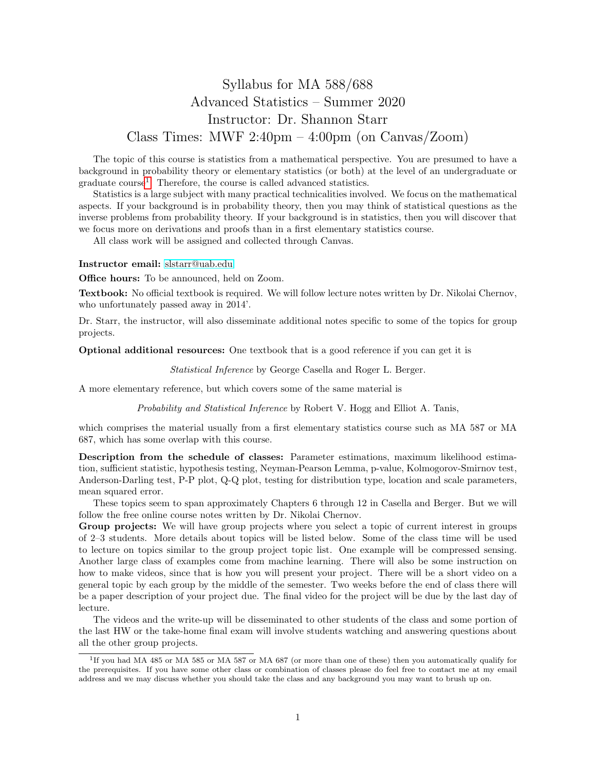## Syllabus for MA 588/688 Advanced Statistics – Summer 2020 Instructor: Dr. Shannon Starr Class Times: MWF  $2:40\text{pm} - 4:00\text{pm}$  (on Canvas/Zoom)

The topic of this course is statistics from a mathematical perspective. You are presumed to have a background in probability theory or elementary statistics (or both) at the level of an undergraduate or graduate course<sup>[1](#page-0-0)</sup>. Therefore, the course is called advanced statistics.

Statistics is a large subject with many practical technicalities involved. We focus on the mathematical aspects. If your background is in probability theory, then you may think of statistical questions as the inverse problems from probability theory. If your background is in statistics, then you will discover that we focus more on derivations and proofs than in a first elementary statistics course.

All class work will be assigned and collected through Canvas.

Instructor email: [slstarr@uab.edu](mailto:slstarr@uab.edu)

Office hours: To be announced, held on Zoom.

Textbook: No official textbook is required. We will follow lecture notes written by Dr. Nikolai Chernov, who unfortunately passed away in 2014'.

Dr. Starr, the instructor, will also disseminate additional notes specific to some of the topics for group projects.

Optional additional resources: One textbook that is a good reference if you can get it is

Statistical Inference by George Casella and Roger L. Berger.

A more elementary reference, but which covers some of the same material is

Probability and Statistical Inference by Robert V. Hogg and Elliot A. Tanis,

which comprises the material usually from a first elementary statistics course such as MA 587 or MA 687, which has some overlap with this course.

Description from the schedule of classes: Parameter estimations, maximum likelihood estimation, sufficient statistic, hypothesis testing, Neyman-Pearson Lemma, p-value, Kolmogorov-Smirnov test, Anderson-Darling test, P-P plot, Q-Q plot, testing for distribution type, location and scale parameters, mean squared error.

These topics seem to span approximately Chapters 6 through 12 in Casella and Berger. But we will follow the free online course notes written by Dr. Nikolai Chernov.

Group projects: We will have group projects where you select a topic of current interest in groups of 2–3 students. More details about topics will be listed below. Some of the class time will be used to lecture on topics similar to the group project topic list. One example will be compressed sensing. Another large class of examples come from machine learning. There will also be some instruction on how to make videos, since that is how you will present your project. There will be a short video on a general topic by each group by the middle of the semester. Two weeks before the end of class there will be a paper description of your project due. The final video for the project will be due by the last day of lecture.

The videos and the write-up will be disseminated to other students of the class and some portion of the last HW or the take-home final exam will involve students watching and answering questions about all the other group projects.

<span id="page-0-0"></span><sup>&</sup>lt;sup>1</sup>If you had MA 485 or MA 585 or MA 587 or MA 687 (or more than one of these) then you automatically qualify for the prerequisites. If you have some other class or combination of classes please do feel free to contact me at my email address and we may discuss whether you should take the class and any background you may want to brush up on.